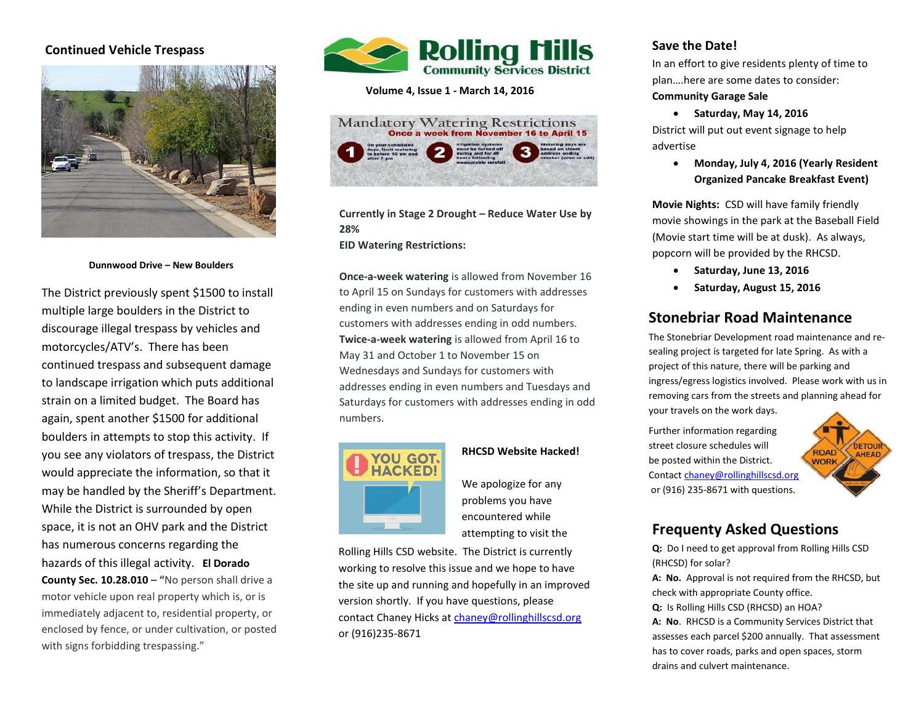## **Continued Vehicle Trespass**



**Dunnwood Drive – New Boulders**

 motorcycles/ATV's. There has been to landscape irrigation which puts additional  again, spent another \$1500 for additional  space, it is not an OHV park and the District The District previously spent \$1500 to install multiple large boulders in the District to discourage illegal trespass by vehicles and continued trespass and subsequent damage strain on a limited budget. The Board has boulders in attempts to stop this activity. If you see any violators of trespass, the District would appreciate the information, so that it may be handled by the Sheriff's Department. While the District is surrounded by open has numerous concerns regarding the hazards of this illegal activity. **El Dorado County Sec. 10.28.010 – "**No person shall drive a motor vehicle upon real property which is, or is immediately adjacent to, residential property, or enclosed by fence, or under cultivation, or posted with signs forbidding trespassing."



**Volume 4, Issue 1 - March 14, 2016**



**Currently in Stage 2 Drought – Reduce Water Use by 28%** 

**EID Watering Restrictions:**

**Once-a-week watering** is allowed from November 16 to April 15 on Sundays for customers with addresses ending in even numbers and on Saturdays for customers with addresses ending in odd numbers. **Twice-a-week watering** is allowed from April 16 to May 31 and October 1 to November 15 on Wednesdays and Sundays for customers with addresses ending in even numbers and Tuesdays and Saturdays for customers with addresses ending in odd numbers.



### **RHCSD Website Hacked!**

We apologize for any problems you have encountered while attempting to visit the

Rolling Hills CSD website. The District is currently working to resolve this issue and we hope to have the site up and running and hopefully in an improved version shortly. If you have questions, please contact Chaney Hicks at [chaney@rollinghillscsd.org](mailto:chaney@rollinghillscsd.org) or (916)235-8671

## **Save the Date!**

In an effort to give residents plenty of time to plan….here are some dates to consider:

#### **Community Garage Sale**

**Saturday, May 14, 2016**

District will put out event signage to help advertise

> **Monday, July 4, 2016 (Yearly Resident Organized Pancake Breakfast Event)**

**Movie Nights:** CSD will have family friendly movie showings in the park at the Baseball Field (Movie start time will be at dusk). As always, popcorn will be provided by the RHCSD.

- **Saturday, June 13, 2016**
- **Saturday, August 15, 2016**

# **Stonebriar Road Maintenance**

The Stonebriar Development road maintenance and resealing project is targeted for late Spring. As with a project of this nature, there will be parking and ingress/egress logistics involved. Please work with us in removing cars from the streets and planning ahead for your travels on the work days. here to consect the contract optimity.

Further information regarding street closure schedules will be posted within the District. Contac[t chaney@rollinghillscsd.org](mailto:chaney@rollinghillscsd.org) or (916) 235-8671 with questions.



# **Frequenty Asked Questions**

**Q:** Do I need to get approval from Rolling Hills CSD (RHCSD) for solar?

**A: No.** Approval is not required from the RHCSD, but check with appropriate County office.

**Q:** Is Rolling Hills CSD (RHCSD) an HOA?

**A: No**.RHCSD is a Community Services District that assesses each parcel \$200 annually. That assessment has to cover roads, parks and open spaces, storm drains and culvert maintenance.